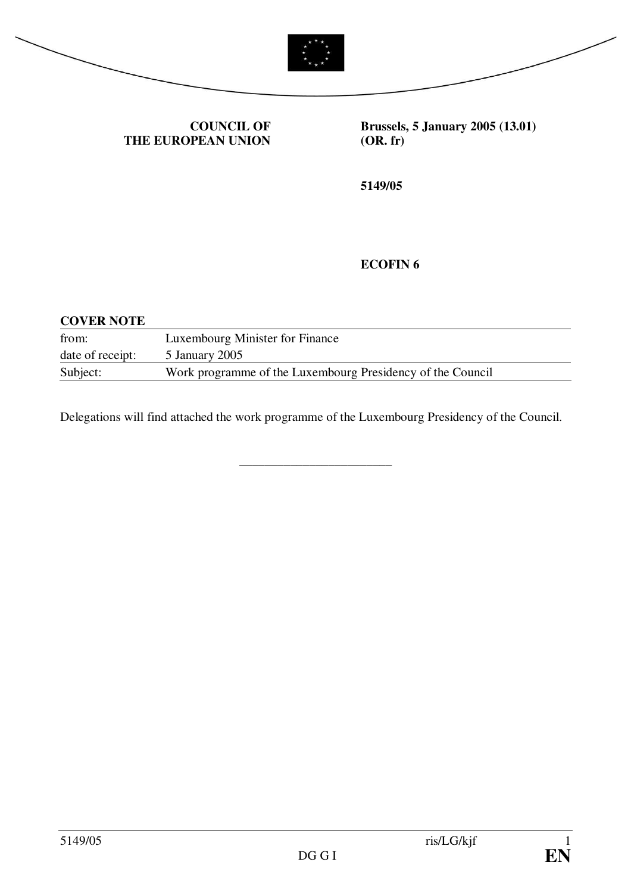



#### **COUNCIL OF THE EUROPEAN UNION**

**Brussels, 5 January 2005 (13.01) (OR. fr)**

**5149/05**

# **ECOFIN 6**

| <b>COVER NOTE</b> |                                                            |
|-------------------|------------------------------------------------------------|
| from:             | Luxembourg Minister for Finance                            |
| date of receipt:  | 5 January 2005                                             |
| Subject:          | Work programme of the Luxembourg Presidency of the Council |

Delegations will find attached the work programme of the Luxembourg Presidency of the Council.

\_\_\_\_\_\_\_\_\_\_\_\_\_\_\_\_\_\_\_\_\_\_\_\_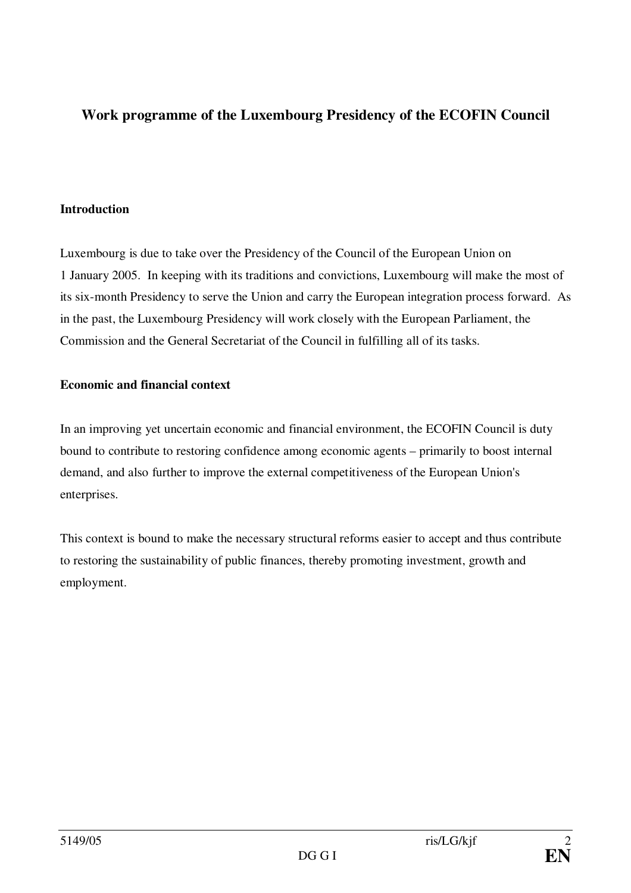# **Work programme of the Luxembourg Presidency of the ECOFIN Council**

## **Introduction**

Luxembourg is due to take over the Presidency of the Council of the European Union on 1 January 2005. In keeping with its traditions and convictions, Luxembourg will make the most of its six-month Presidency to serve the Union and carry the European integration process forward. As in the past, the Luxembourg Presidency will work closely with the European Parliament, the Commission and the General Secretariat of the Council in fulfilling all of its tasks.

# **Economic and financial context**

In an improving yet uncertain economic and financial environment, the ECOFIN Council is duty bound to contribute to restoring confidence among economic agents – primarily to boost internal demand, and also further to improve the external competitiveness of the European Union's enterprises.

This context is bound to make the necessary structural reforms easier to accept and thus contribute to restoring the sustainability of public finances, thereby promoting investment, growth and employment.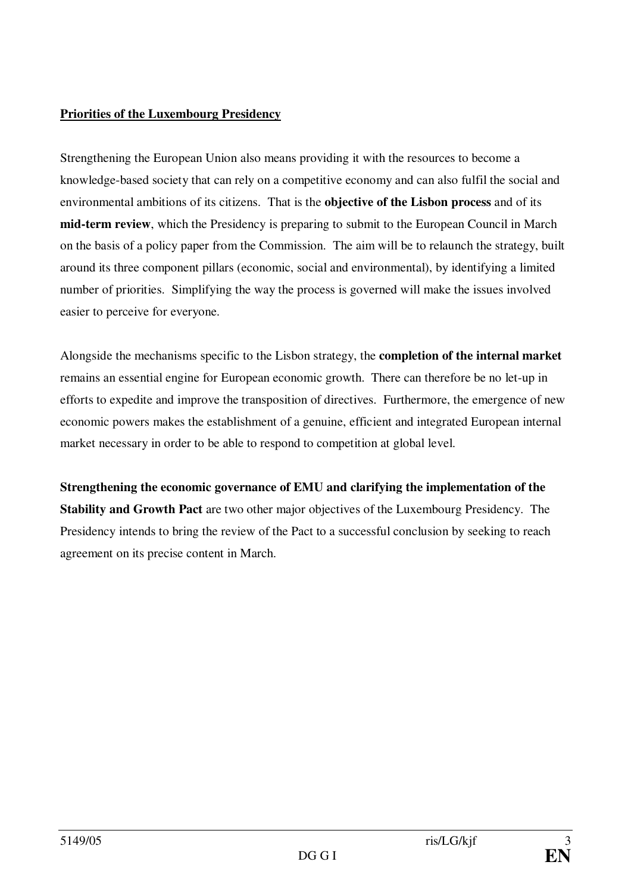# **Priorities of the Luxembourg Presidency**

Strengthening the European Union also means providing it with the resources to become a knowledge-based society that can rely on a competitive economy and can also fulfil the social and environmental ambitions of its citizens. That is the **objective of the Lisbon process** and of its **mid-term review**, which the Presidency is preparing to submit to the European Council in March on the basis of a policy paper from the Commission. The aim will be to relaunch the strategy, built around its three component pillars (economic, social and environmental), by identifying a limited number of priorities. Simplifying the way the process is governed will make the issues involved easier to perceive for everyone.

Alongside the mechanisms specific to the Lisbon strategy, the **completion of the internal market** remains an essential engine for European economic growth. There can therefore be no let-up in efforts to expedite and improve the transposition of directives. Furthermore, the emergence of new economic powers makes the establishment of a genuine, efficient and integrated European internal market necessary in order to be able to respond to competition at global level.

**Strengthening the economic governance of EMU and clarifying the implementation of the Stability and Growth Pact** are two other major objectives of the Luxembourg Presidency. The Presidency intends to bring the review of the Pact to a successful conclusion by seeking to reach agreement on its precise content in March.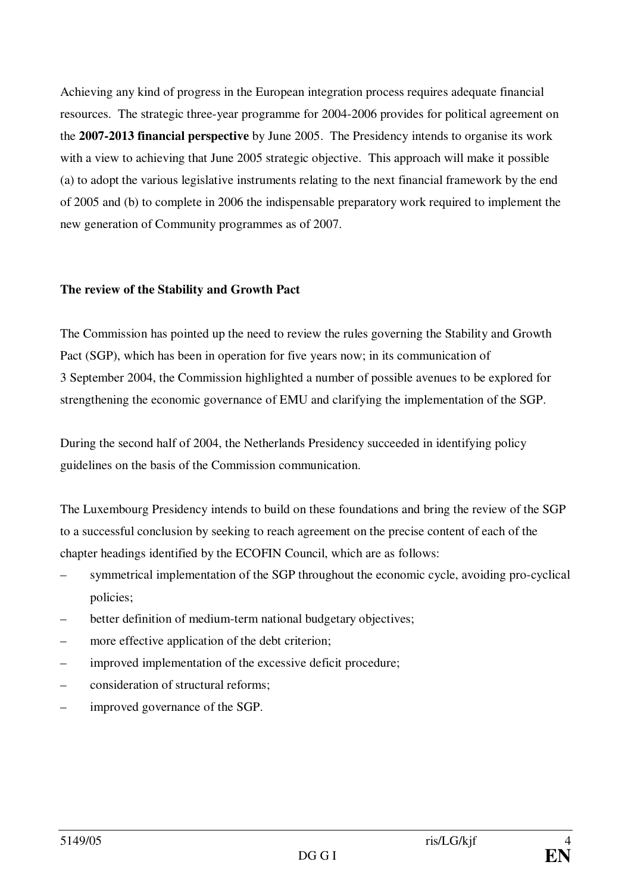Achieving any kind of progress in the European integration process requires adequate financial resources. The strategic three-year programme for 2004-2006 provides for political agreement on the **2007-2013 financial perspective** by June 2005. The Presidency intends to organise its work with a view to achieving that June 2005 strategic objective. This approach will make it possible (a) to adopt the various legislative instruments relating to the next financial framework by the end of 2005 and (b) to complete in 2006 the indispensable preparatory work required to implement the new generation of Community programmes as of 2007.

#### **The review of the Stability and Growth Pact**

The Commission has pointed up the need to review the rules governing the Stability and Growth Pact (SGP), which has been in operation for five years now; in its communication of 3 September 2004, the Commission highlighted a number of possible avenues to be explored for strengthening the economic governance of EMU and clarifying the implementation of the SGP.

During the second half of 2004, the Netherlands Presidency succeeded in identifying policy guidelines on the basis of the Commission communication.

The Luxembourg Presidency intends to build on these foundations and bring the review of the SGP to a successful conclusion by seeking to reach agreement on the precise content of each of the chapter headings identified by the ECOFIN Council, which are as follows:

- symmetrical implementation of the SGP throughout the economic cycle, avoiding pro-cyclical policies;
- better definition of medium-term national budgetary objectives;
- more effective application of the debt criterion;
- improved implementation of the excessive deficit procedure;
- consideration of structural reforms;
- improved governance of the SGP.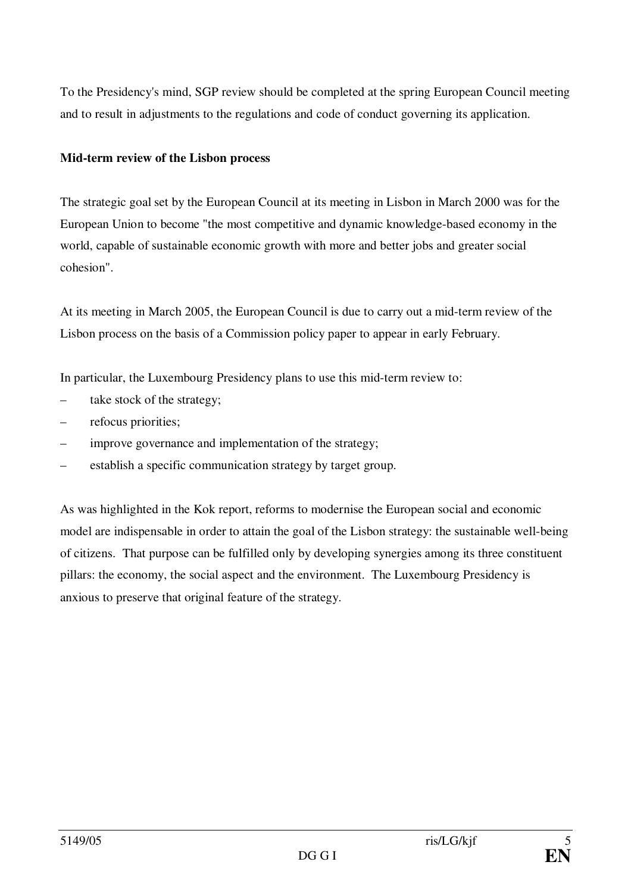To the Presidency's mind, SGP review should be completed at the spring European Council meeting and to result in adjustments to the regulations and code of conduct governing its application.

#### **Mid-term review of the Lisbon process**

The strategic goal set by the European Council at its meeting in Lisbon in March 2000 was for the European Union to become "the most competitive and dynamic knowledge-based economy in the world, capable of sustainable economic growth with more and better jobs and greater social cohesion".

At its meeting in March 2005, the European Council is due to carry out a mid-term review of the Lisbon process on the basis of a Commission policy paper to appear in early February.

In particular, the Luxembourg Presidency plans to use this mid-term review to:

- take stock of the strategy;
- refocus priorities;
- improve governance and implementation of the strategy;
- establish a specific communication strategy by target group.

As was highlighted in the Kok report, reforms to modernise the European social and economic model are indispensable in order to attain the goal of the Lisbon strategy: the sustainable well-being of citizens. That purpose can be fulfilled only by developing synergies among its three constituent pillars: the economy, the social aspect and the environment. The Luxembourg Presidency is anxious to preserve that original feature of the strategy.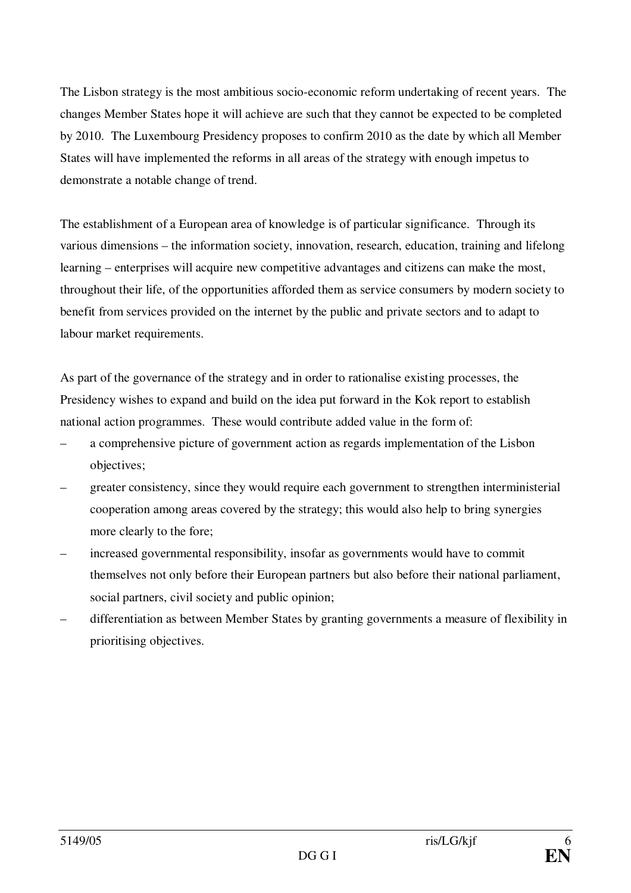The Lisbon strategy is the most ambitious socio-economic reform undertaking of recent years. The changes Member States hope it will achieve are such that they cannot be expected to be completed by 2010. The Luxembourg Presidency proposes to confirm 2010 as the date by which all Member States will have implemented the reforms in all areas of the strategy with enough impetus to demonstrate a notable change of trend.

The establishment of a European area of knowledge is of particular significance. Through its various dimensions – the information society, innovation, research, education, training and lifelong learning – enterprises will acquire new competitive advantages and citizens can make the most, throughout their life, of the opportunities afforded them as service consumers by modern society to benefit from services provided on the internet by the public and private sectors and to adapt to labour market requirements.

As part of the governance of the strategy and in order to rationalise existing processes, the Presidency wishes to expand and build on the idea put forward in the Kok report to establish national action programmes. These would contribute added value in the form of:

- a comprehensive picture of government action as regards implementation of the Lisbon objectives;
- greater consistency, since they would require each government to strengthen interministerial cooperation among areas covered by the strategy; this would also help to bring synergies more clearly to the fore;
- increased governmental responsibility, insofar as governments would have to commit themselves not only before their European partners but also before their national parliament, social partners, civil society and public opinion;
- differentiation as between Member States by granting governments a measure of flexibility in prioritising objectives.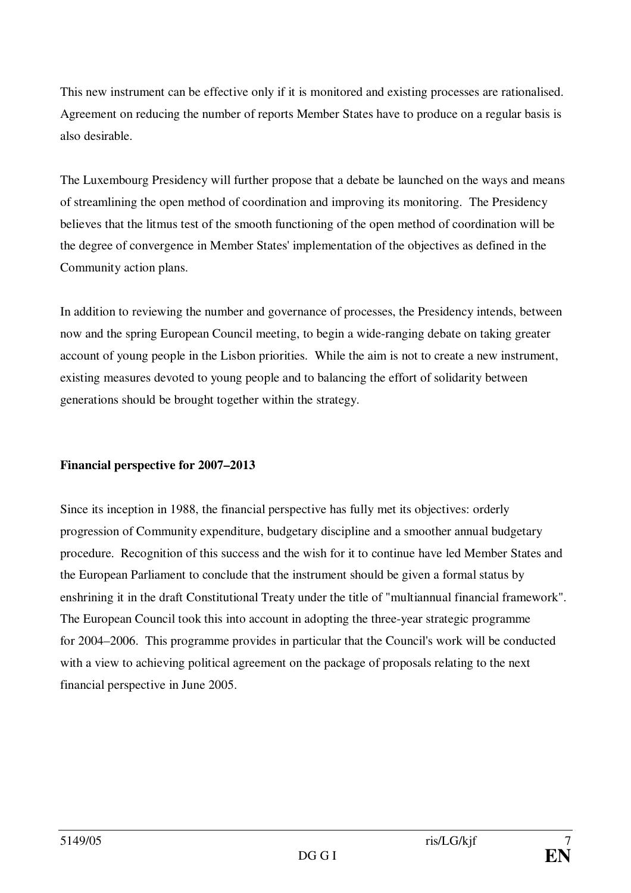This new instrument can be effective only if it is monitored and existing processes are rationalised. Agreement on reducing the number of reports Member States have to produce on a regular basis is also desirable.

The Luxembourg Presidency will further propose that a debate be launched on the ways and means of streamlining the open method of coordination and improving its monitoring. The Presidency believes that the litmus test of the smooth functioning of the open method of coordination will be the degree of convergence in Member States' implementation of the objectives as defined in the Community action plans.

In addition to reviewing the number and governance of processes, the Presidency intends, between now and the spring European Council meeting, to begin a wide-ranging debate on taking greater account of young people in the Lisbon priorities. While the aim is not to create a new instrument, existing measures devoted to young people and to balancing the effort of solidarity between generations should be brought together within the strategy.

#### **Financial perspective for 2007–2013**

Since its inception in 1988, the financial perspective has fully met its objectives: orderly progression of Community expenditure, budgetary discipline and a smoother annual budgetary procedure. Recognition of this success and the wish for it to continue have led Member States and the European Parliament to conclude that the instrument should be given a formal status by enshrining it in the draft Constitutional Treaty under the title of "multiannual financial framework". The European Council took this into account in adopting the three-year strategic programme for 2004–2006. This programme provides in particular that the Council's work will be conducted with a view to achieving political agreement on the package of proposals relating to the next financial perspective in June 2005.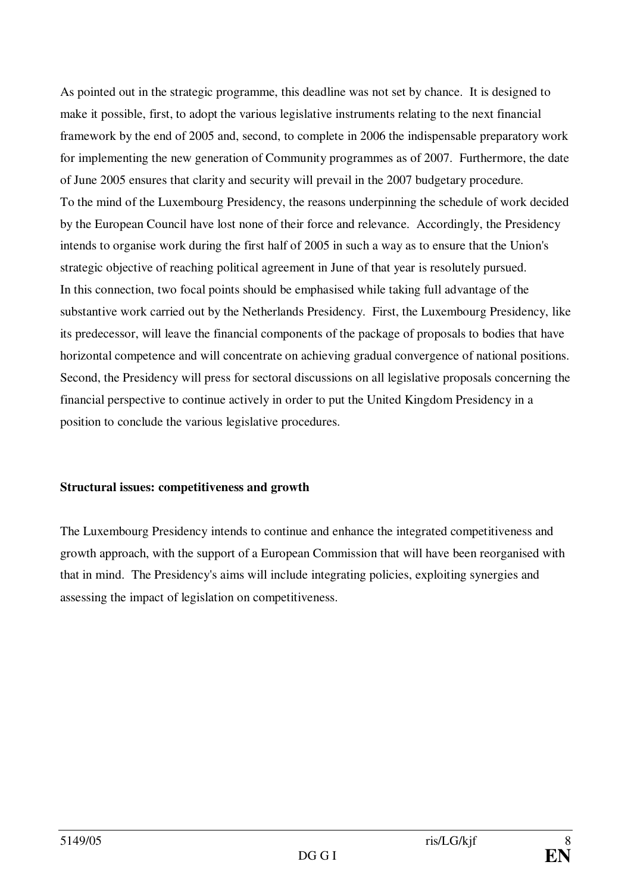As pointed out in the strategic programme, this deadline was not set by chance. It is designed to make it possible, first, to adopt the various legislative instruments relating to the next financial framework by the end of 2005 and, second, to complete in 2006 the indispensable preparatory work for implementing the new generation of Community programmes as of 2007. Furthermore, the date of June 2005 ensures that clarity and security will prevail in the 2007 budgetary procedure. To the mind of the Luxembourg Presidency, the reasons underpinning the schedule of work decided by the European Council have lost none of their force and relevance. Accordingly, the Presidency intends to organise work during the first half of 2005 in such a way as to ensure that the Union's strategic objective of reaching political agreement in June of that year is resolutely pursued. In this connection, two focal points should be emphasised while taking full advantage of the substantive work carried out by the Netherlands Presidency. First, the Luxembourg Presidency, like its predecessor, will leave the financial components of the package of proposals to bodies that have horizontal competence and will concentrate on achieving gradual convergence of national positions. Second, the Presidency will press for sectoral discussions on all legislative proposals concerning the financial perspective to continue actively in order to put the United Kingdom Presidency in a position to conclude the various legislative procedures.

#### **Structural issues: competitiveness and growth**

The Luxembourg Presidency intends to continue and enhance the integrated competitiveness and growth approach, with the support of a European Commission that will have been reorganised with that in mind. The Presidency's aims will include integrating policies, exploiting synergies and assessing the impact of legislation on competitiveness.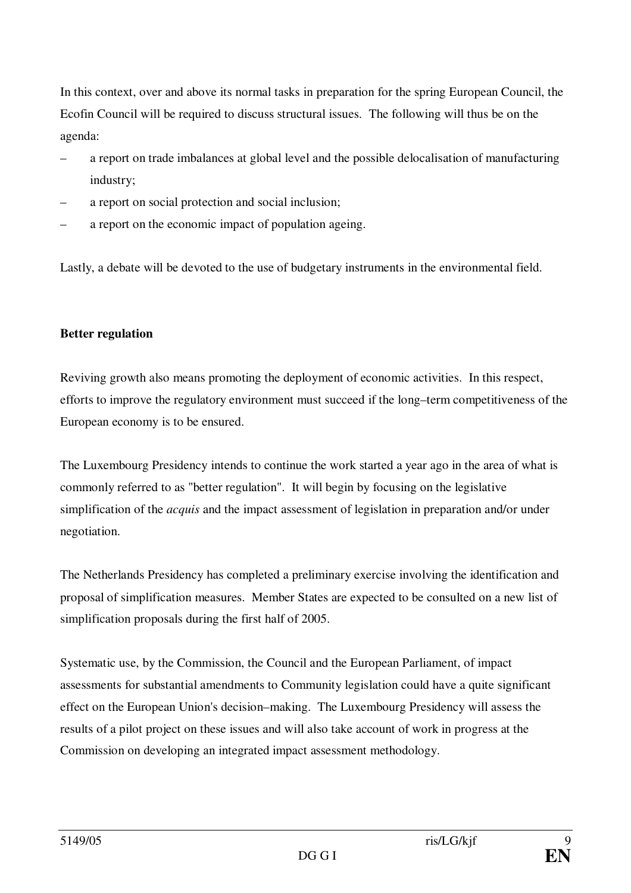In this context, over and above its normal tasks in preparation for the spring European Council, the Ecofin Council will be required to discuss structural issues. The following will thus be on the agenda:

- a report on trade imbalances at global level and the possible delocalisation of manufacturing industry;
- a report on social protection and social inclusion;
- a report on the economic impact of population ageing.

Lastly, a debate will be devoted to the use of budgetary instruments in the environmental field.

#### **Better regulation**

Reviving growth also means promoting the deployment of economic activities. In this respect, efforts to improve the regulatory environment must succeed if the long–term competitiveness of the European economy is to be ensured.

The Luxembourg Presidency intends to continue the work started a year ago in the area of what is commonly referred to as "better regulation". It will begin by focusing on the legislative simplification of the *acquis* and the impact assessment of legislation in preparation and/or under negotiation.

The Netherlands Presidency has completed a preliminary exercise involving the identification and proposal of simplification measures. Member States are expected to be consulted on a new list of simplification proposals during the first half of 2005.

Systematic use, by the Commission, the Council and the European Parliament, of impact assessments for substantial amendments to Community legislation could have a quite significant effect on the European Union's decision–making. The Luxembourg Presidency will assess the results of a pilot project on these issues and will also take account of work in progress at the Commission on developing an integrated impact assessment methodology.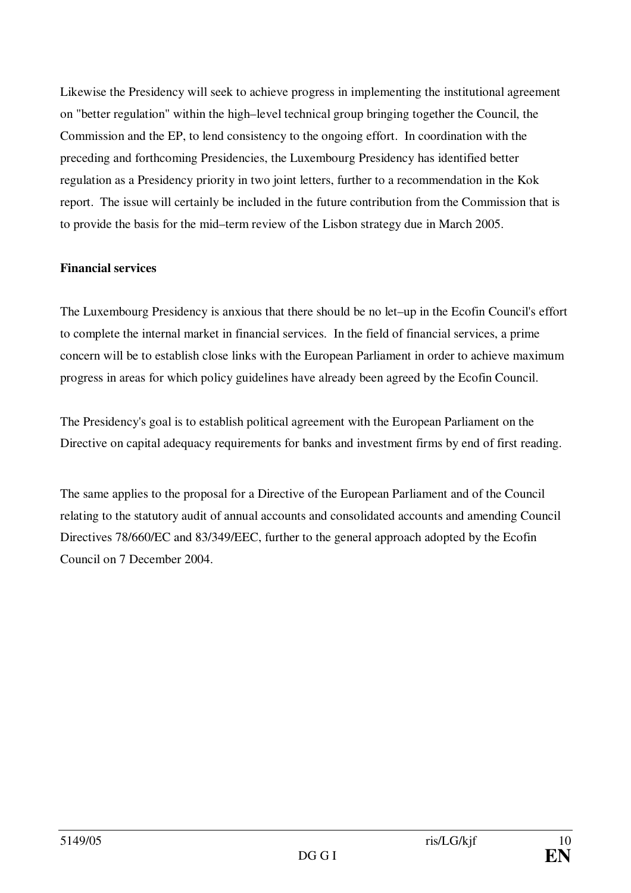Likewise the Presidency will seek to achieve progress in implementing the institutional agreement on "better regulation" within the high–level technical group bringing together the Council, the Commission and the EP, to lend consistency to the ongoing effort. In coordination with the preceding and forthcoming Presidencies, the Luxembourg Presidency has identified better regulation as a Presidency priority in two joint letters, further to a recommendation in the Kok report. The issue will certainly be included in the future contribution from the Commission that is to provide the basis for the mid–term review of the Lisbon strategy due in March 2005.

## **Financial services**

The Luxembourg Presidency is anxious that there should be no let–up in the Ecofin Council's effort to complete the internal market in financial services. In the field of financial services, a prime concern will be to establish close links with the European Parliament in order to achieve maximum progress in areas for which policy guidelines have already been agreed by the Ecofin Council.

The Presidency's goal is to establish political agreement with the European Parliament on the Directive on capital adequacy requirements for banks and investment firms by end of first reading.

The same applies to the proposal for a Directive of the European Parliament and of the Council relating to the statutory audit of annual accounts and consolidated accounts and amending Council Directives 78/660/EC and 83/349/EEC, further to the general approach adopted by the Ecofin Council on 7 December 2004.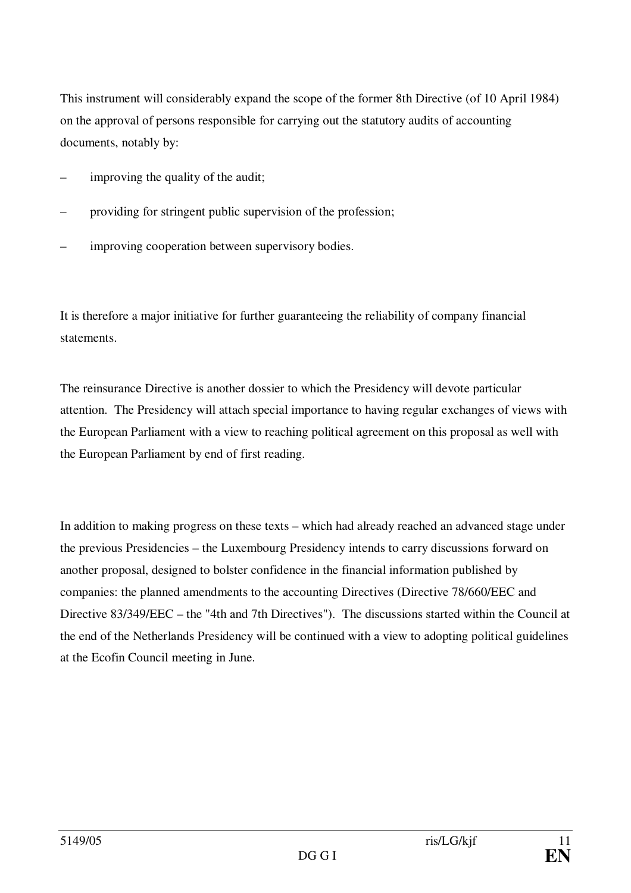This instrument will considerably expand the scope of the former 8th Directive (of 10 April 1984) on the approval of persons responsible for carrying out the statutory audits of accounting documents, notably by:

- improving the quality of the audit;
- providing for stringent public supervision of the profession;
- improving cooperation between supervisory bodies.

It is therefore a major initiative for further guaranteeing the reliability of company financial statements.

The reinsurance Directive is another dossier to which the Presidency will devote particular attention. The Presidency will attach special importance to having regular exchanges of views with the European Parliament with a view to reaching political agreement on this proposal as well with the European Parliament by end of first reading.

In addition to making progress on these texts – which had already reached an advanced stage under the previous Presidencies – the Luxembourg Presidency intends to carry discussions forward on another proposal, designed to bolster confidence in the financial information published by companies: the planned amendments to the accounting Directives (Directive 78/660/EEC and Directive 83/349/EEC – the "4th and 7th Directives"). The discussions started within the Council at the end of the Netherlands Presidency will be continued with a view to adopting political guidelines at the Ecofin Council meeting in June.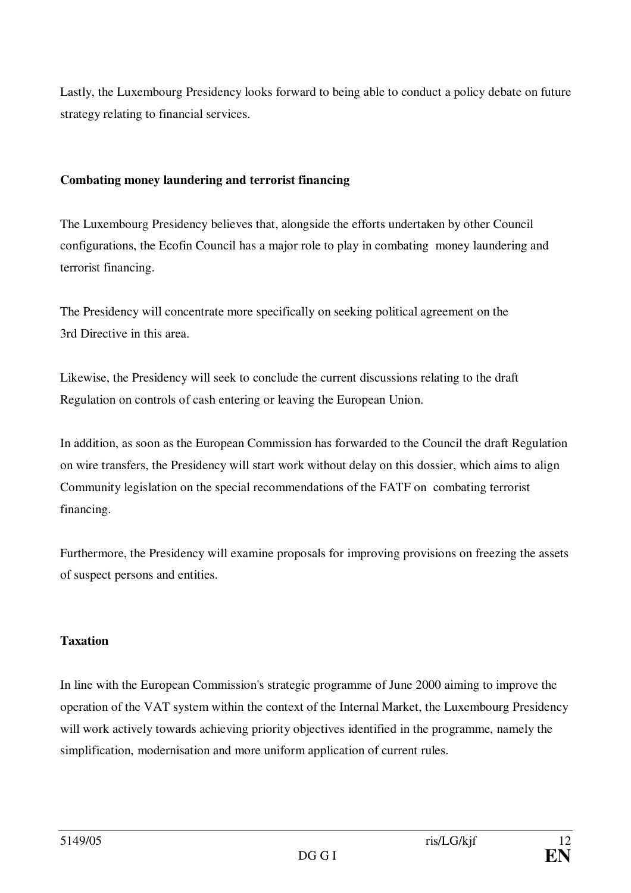Lastly, the Luxembourg Presidency looks forward to being able to conduct a policy debate on future strategy relating to financial services.

## **Combating money laundering and terrorist financing**

The Luxembourg Presidency believes that, alongside the efforts undertaken by other Council configurations, the Ecofin Council has a major role to play in combating money laundering and terrorist financing.

The Presidency will concentrate more specifically on seeking political agreement on the 3rd Directive in this area.

Likewise, the Presidency will seek to conclude the current discussions relating to the draft Regulation on controls of cash entering or leaving the European Union.

In addition, as soon as the European Commission has forwarded to the Council the draft Regulation on wire transfers, the Presidency will start work without delay on this dossier, which aims to align Community legislation on the special recommendations of the FATF on combating terrorist financing.

Furthermore, the Presidency will examine proposals for improving provisions on freezing the assets of suspect persons and entities.

#### **Taxation**

In line with the European Commission's strategic programme of June 2000 aiming to improve the operation of the VAT system within the context of the Internal Market, the Luxembourg Presidency will work actively towards achieving priority objectives identified in the programme, namely the simplification, modernisation and more uniform application of current rules.